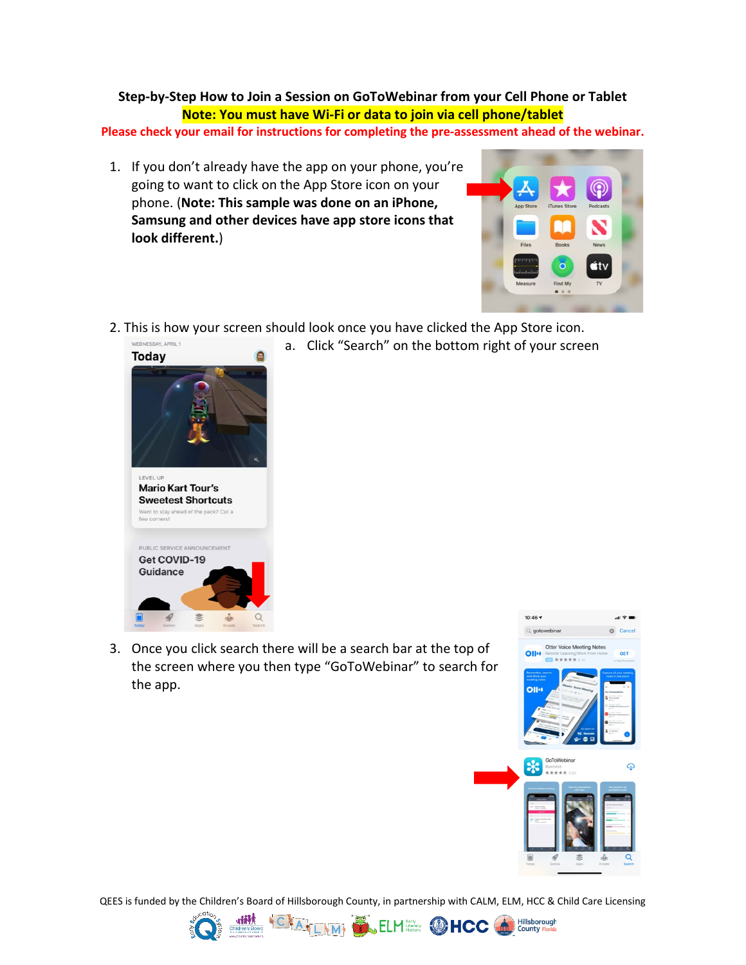## **Step-by-Step How to Join a Session on GoToWebinar from your Cell Phone or Tablet Note: You must have Wi-Fi or data to join via cell phone/tablet**

**Please check your email for instructions for completing the pre-assessment ahead of the webinar.**

1. If you don't already have the app on your phone, you're going to want to click on the App Store icon on your phone. (**Note: This sample was done on an iPhone, Samsung and other devices have app store icons that look different.**)



2. This is how your screen should look once you have clicked the App Store icon.



a. Click "Search" on the bottom right of your screen

3. Once you click search there will be a search bar at the top of the screen where you then type "GoToWebinar" to search for the app.



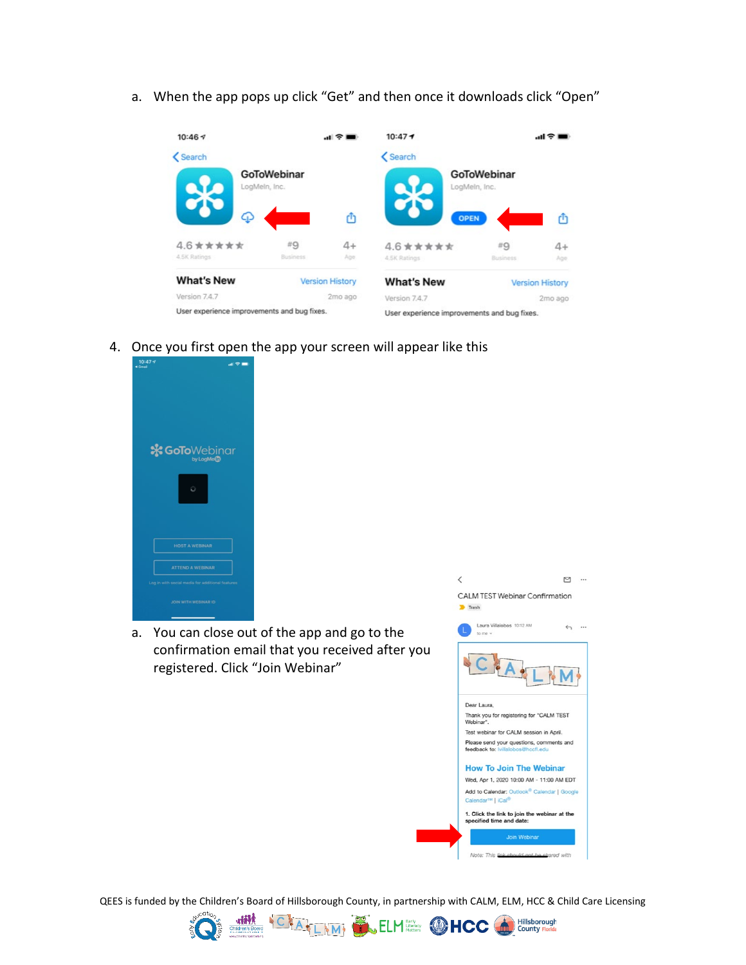a. When the app pops up click "Get" and then once it downloads click "Open"



4. Once you first open the app your screen will appear like this



a. You can close out of the app and go to the confirmation email that you received after you registered. Click "Join Webinar"



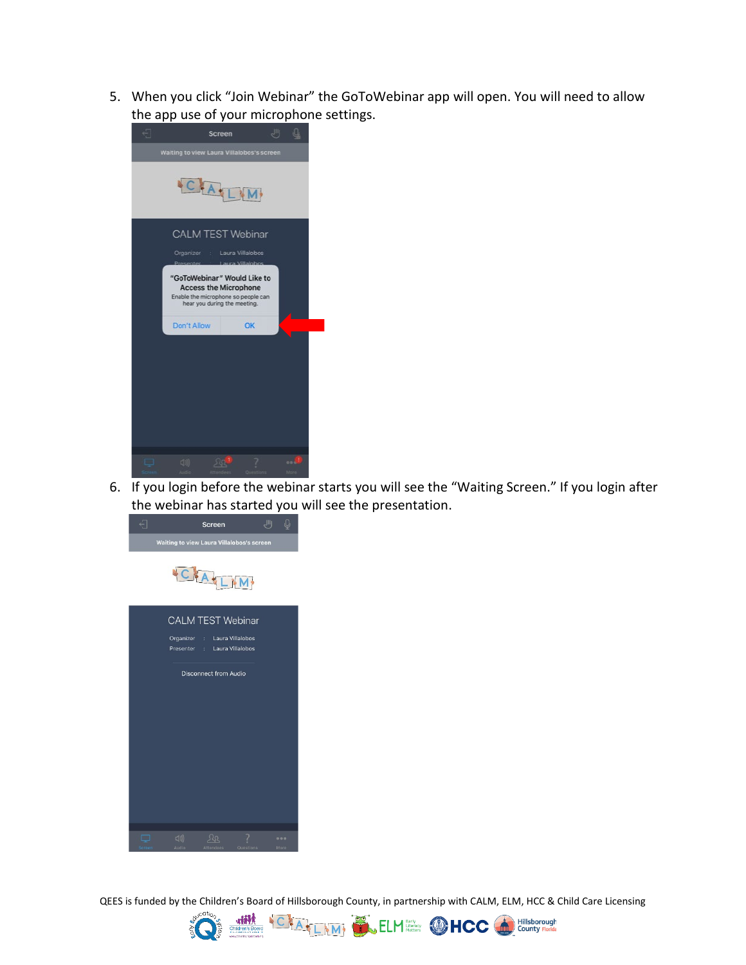5. When you click "Join Webinar" the GoToWebinar app will open. You will need to allow the app use of your microphone settings.



6. If you login before the webinar starts you will see the "Waiting Screen." If you login after the webinar has started you will see the presentation.



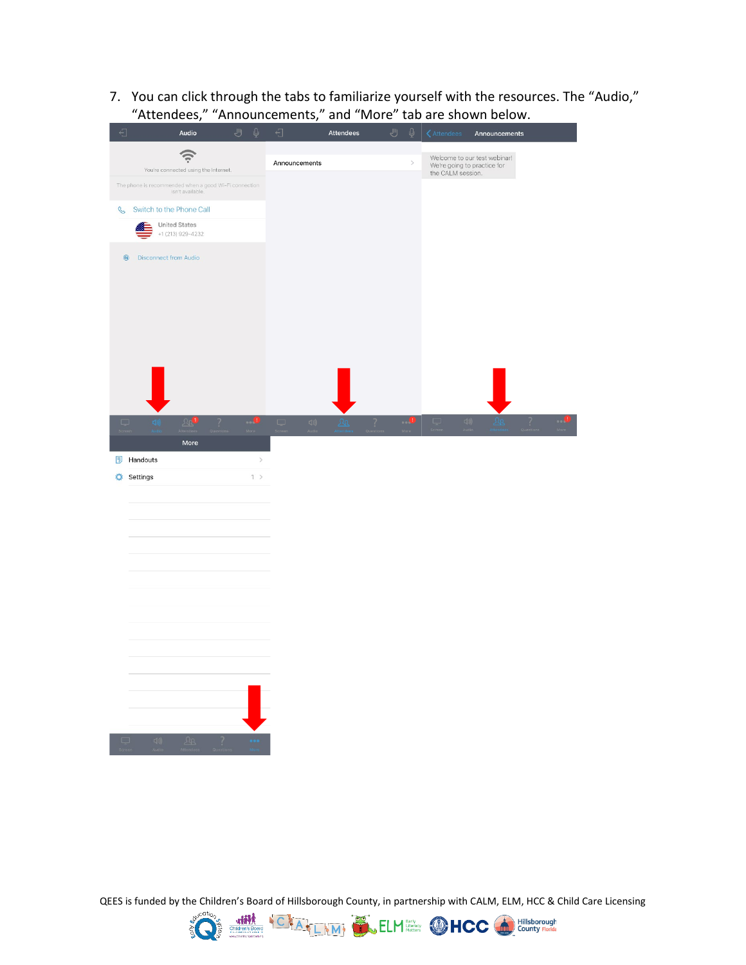7. You can click through the tabs to familiarize yourself with the resources. The "Audio," "Attendees," "Announcements," and "More" tab are shown below.

| €             |                                                                           | Audio                                     | J | $\overline{\mathbb{Q}}$ | $\overline{\bigcirc}$  | <b>Attendees</b> | ىلل | $\overline{Q}$                                   | $\zeta$ Attendees | Announcements                |
|---------------|---------------------------------------------------------------------------|-------------------------------------------|---|-------------------------|------------------------|------------------|-----|--------------------------------------------------|-------------------|------------------------------|
|               |                                                                           | $\widehat{\psi}$                          |   |                         | Announcements          |                  |     | $\,$                                             |                   | Welcome to our test webinar! |
|               | You're connected using the Internet.                                      |                                           |   |                         |                        |                  |     | We're going to practice for<br>the CALM session. |                   |                              |
|               | The phone is recommended when a good Wi-Fi connection<br>isn't available. |                                           |   |                         |                        |                  |     |                                                  |                   |                              |
| $\mathcal{S}$ | Switch to the Phone Call                                                  |                                           |   |                         |                        |                  |     |                                                  |                   |                              |
|               |                                                                           | <b>United States</b><br>+1 (213) 929-4232 |   |                         |                        |                  |     |                                                  |                   |                              |
|               | $^{\circledR}$<br><b>Disconnect from Audio</b>                            |                                           |   |                         |                        |                  |     |                                                  |                   |                              |
|               |                                                                           |                                           |   |                         |                        |                  |     |                                                  |                   |                              |
|               |                                                                           |                                           |   |                         |                        |                  |     |                                                  |                   |                              |
|               |                                                                           |                                           |   |                         |                        |                  |     |                                                  |                   |                              |
|               |                                                                           |                                           |   |                         |                        |                  |     |                                                  |                   |                              |
|               |                                                                           | 20 <sup>1</sup>                           |   | U                       | $\zeta(1)\bigr)$<br>O. | <u>An</u>        | 7   | $\bullet$                                        | $\Box$            | $\Box$<br>7                  |
|               |                                                                           | More                                      |   |                         |                        |                  |     |                                                  |                   |                              |
| 同             | Handouts                                                                  |                                           |   | $\,$                    |                        |                  |     |                                                  |                   |                              |
| ۰             | Settings                                                                  |                                           |   | $1$ >                   |                        |                  |     |                                                  |                   |                              |
|               |                                                                           |                                           |   |                         |                        |                  |     |                                                  |                   |                              |
|               |                                                                           |                                           |   |                         |                        |                  |     |                                                  |                   |                              |
|               |                                                                           |                                           |   |                         |                        |                  |     |                                                  |                   |                              |
|               |                                                                           |                                           |   |                         |                        |                  |     |                                                  |                   |                              |
|               |                                                                           |                                           |   |                         |                        |                  |     |                                                  |                   |                              |
|               |                                                                           |                                           |   |                         |                        |                  |     |                                                  |                   |                              |
|               |                                                                           |                                           |   |                         |                        |                  |     |                                                  |                   |                              |
|               |                                                                           |                                           |   |                         |                        |                  |     |                                                  |                   |                              |
|               |                                                                           |                                           |   |                         |                        |                  |     |                                                  |                   |                              |
|               |                                                                           |                                           |   |                         |                        |                  |     |                                                  |                   |                              |
|               |                                                                           |                                           |   |                         |                        |                  |     |                                                  |                   |                              |
|               |                                                                           |                                           |   |                         |                        |                  |     |                                                  |                   |                              |
| □             | $\Box$ ))                                                                 | 2a                                        | ? |                         |                        |                  |     |                                                  |                   |                              |

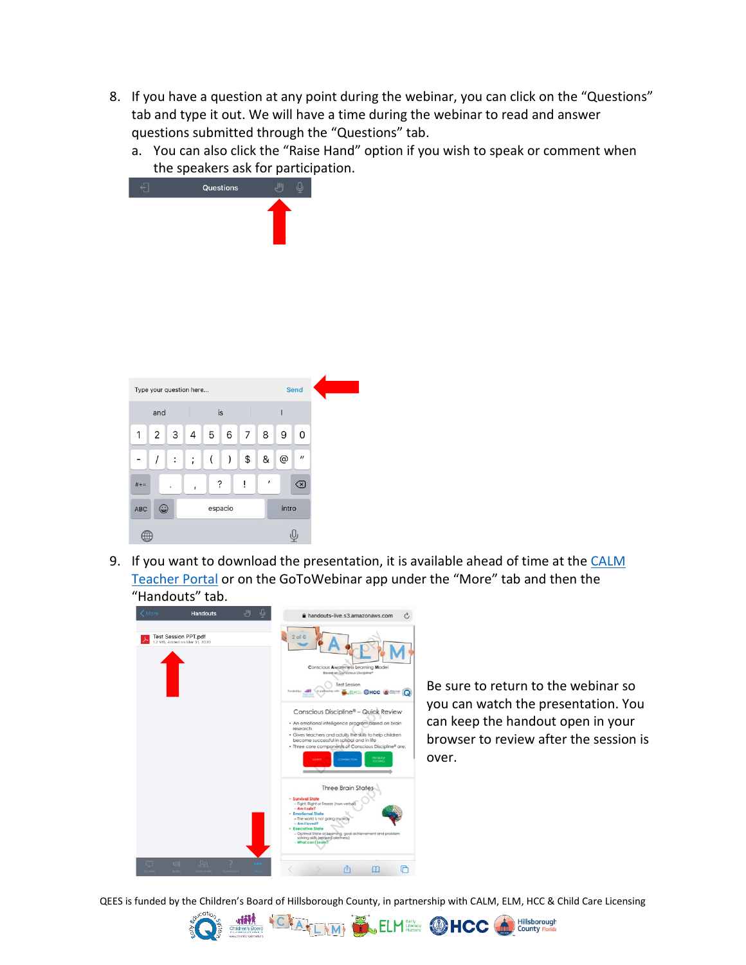- 8. If you have a question at any point during the webinar, you can click on the "Questions" tab and type it out. We will have a time during the webinar to read and answer questions submitted through the "Questions" tab.
	- a. You can also click the "Raise Hand" option if you wish to speak or comment when the speakers ask for participation.



9. If you want to download the presentation, it is available ahead of time at the CALM [Teacher Portal](https://www.calmhcc.org/calm-teacher-portal) or on the GoToWebinar app under the "More" tab and then the "Handouts" tab.



Be sure to return to the webinar so you can watch the presentation. You can keep the handout open in your browser to review after the session is over.

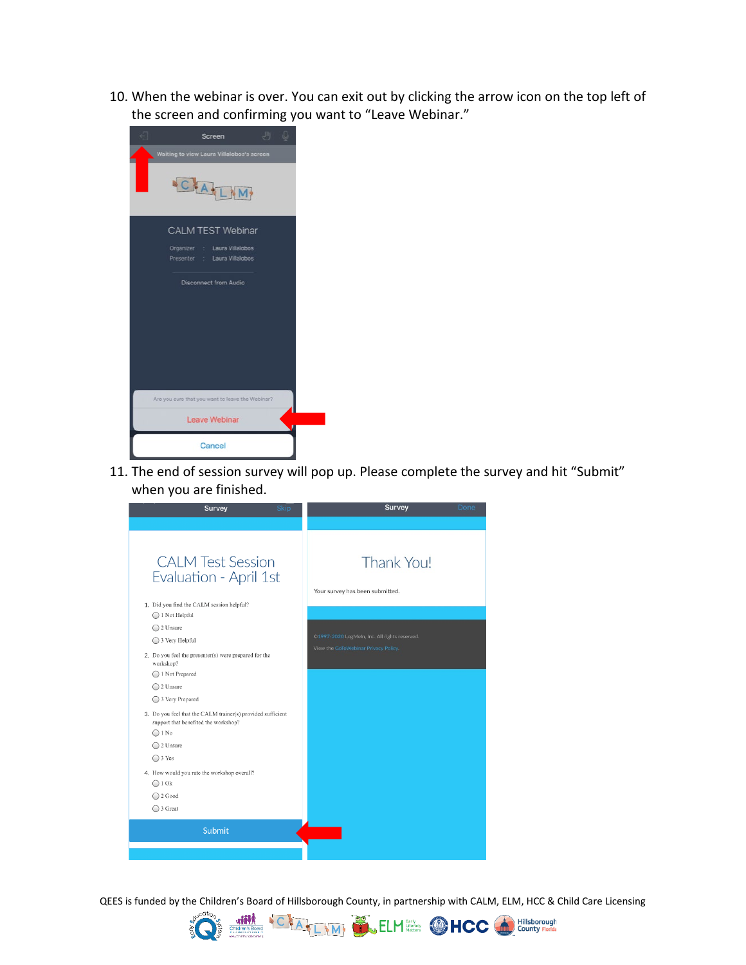10. When the webinar is over. You can exit out by clicking the arrow icon on the top left of the screen and confirming you want to "Leave Webinar."



11. The end of session survey will pop up. Please complete the survey and hit "Submit" when you are finished.